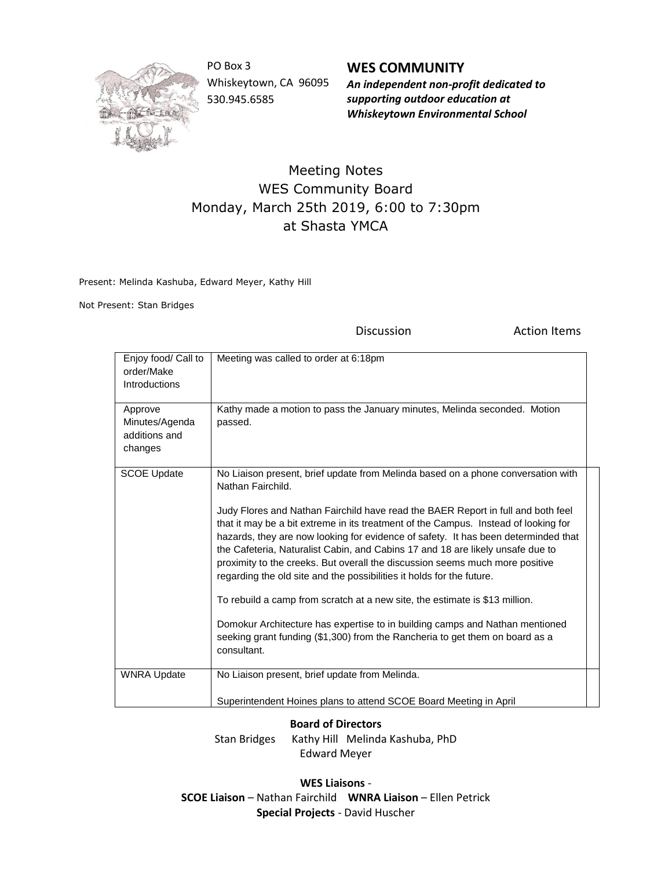

PO Box 3 Whiskeytown, CA 96095 530.945.6585

**WES COMMUNITY** *An independent non-profit dedicated to supporting outdoor education at Whiskeytown Environmental School*

## Meeting Notes WES Community Board Monday, March 25th 2019, 6:00 to 7:30pm at Shasta YMCA

Present: Melinda Kashuba, Edward Meyer, Kathy Hill

Not Present: Stan Bridges

Discussion **Action Items** 

| Enjoy food/ Call to<br>order/Make<br>Introductions<br>Approve | Meeting was called to order at 6:18pm<br>Kathy made a motion to pass the January minutes, Melinda seconded. Motion                                                                                                                                                                                                                                                                                                                                                                                                                                                                                                                                                                                                                                                                                                                                                              |  |
|---------------------------------------------------------------|---------------------------------------------------------------------------------------------------------------------------------------------------------------------------------------------------------------------------------------------------------------------------------------------------------------------------------------------------------------------------------------------------------------------------------------------------------------------------------------------------------------------------------------------------------------------------------------------------------------------------------------------------------------------------------------------------------------------------------------------------------------------------------------------------------------------------------------------------------------------------------|--|
| Minutes/Agenda<br>additions and<br>changes                    | passed.                                                                                                                                                                                                                                                                                                                                                                                                                                                                                                                                                                                                                                                                                                                                                                                                                                                                         |  |
| <b>SCOE Update</b>                                            | No Liaison present, brief update from Melinda based on a phone conversation with<br>Nathan Fairchild.<br>Judy Flores and Nathan Fairchild have read the BAER Report in full and both feel<br>that it may be a bit extreme in its treatment of the Campus. Instead of looking for<br>hazards, they are now looking for evidence of safety. It has been determinded that<br>the Cafeteria, Naturalist Cabin, and Cabins 17 and 18 are likely unsafe due to<br>proximity to the creeks. But overall the discussion seems much more positive<br>regarding the old site and the possibilities it holds for the future.<br>To rebuild a camp from scratch at a new site, the estimate is \$13 million.<br>Domokur Architecture has expertise to in building camps and Nathan mentioned<br>seeking grant funding (\$1,300) from the Rancheria to get them on board as a<br>consultant. |  |
| <b>WNRA Update</b>                                            | No Liaison present, brief update from Melinda.                                                                                                                                                                                                                                                                                                                                                                                                                                                                                                                                                                                                                                                                                                                                                                                                                                  |  |
|                                                               | Superintendent Hoines plans to attend SCOE Board Meeting in April                                                                                                                                                                                                                                                                                                                                                                                                                                                                                                                                                                                                                                                                                                                                                                                                               |  |

## **Board of Directors**

Stan Bridges Kathy Hill Melinda Kashuba, PhD Edward Meyer

**WES Liaisons** - **SCOE Liaison** – Nathan Fairchild **WNRA Liaison** – Ellen Petrick **Special Projects** - David Huscher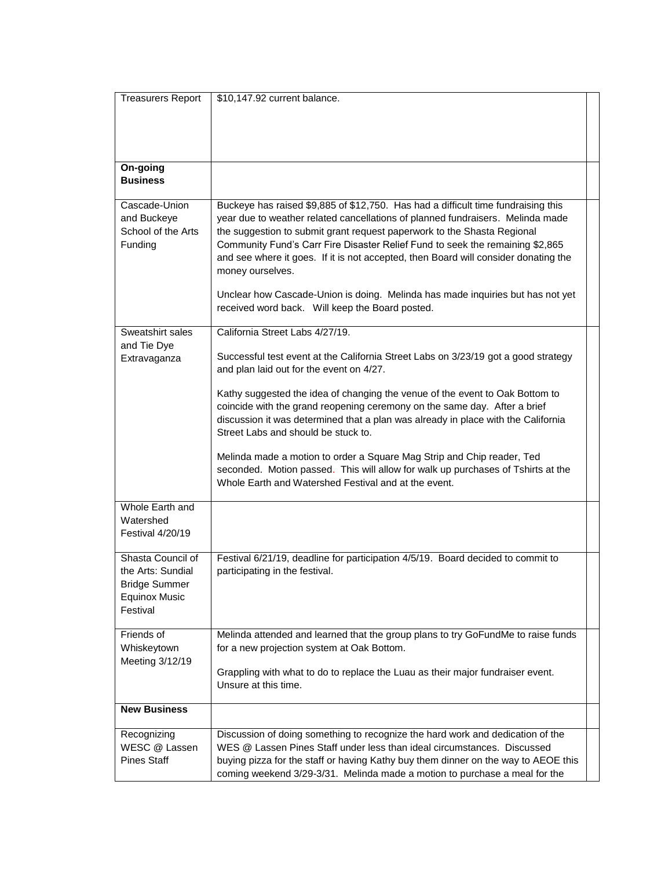| <b>Treasurers Report</b>                                                                    | \$10,147.92 current balance.                                                                                                                                                                                                                                                                                                                                                                                                                                                                                                                                                    |  |
|---------------------------------------------------------------------------------------------|---------------------------------------------------------------------------------------------------------------------------------------------------------------------------------------------------------------------------------------------------------------------------------------------------------------------------------------------------------------------------------------------------------------------------------------------------------------------------------------------------------------------------------------------------------------------------------|--|
| On-going<br><b>Business</b>                                                                 |                                                                                                                                                                                                                                                                                                                                                                                                                                                                                                                                                                                 |  |
| Cascade-Union<br>and Buckeye<br>School of the Arts<br>Funding                               | Buckeye has raised \$9,885 of \$12,750. Has had a difficult time fundraising this<br>year due to weather related cancellations of planned fundraisers. Melinda made<br>the suggestion to submit grant request paperwork to the Shasta Regional<br>Community Fund's Carr Fire Disaster Relief Fund to seek the remaining \$2,865<br>and see where it goes. If it is not accepted, then Board will consider donating the<br>money ourselves.<br>Unclear how Cascade-Union is doing. Melinda has made inquiries but has not yet<br>received word back. Will keep the Board posted. |  |
| Sweatshirt sales                                                                            | California Street Labs 4/27/19.                                                                                                                                                                                                                                                                                                                                                                                                                                                                                                                                                 |  |
| and Tie Dye<br>Extravaganza                                                                 | Successful test event at the California Street Labs on 3/23/19 got a good strategy<br>and plan laid out for the event on 4/27.                                                                                                                                                                                                                                                                                                                                                                                                                                                  |  |
|                                                                                             | Kathy suggested the idea of changing the venue of the event to Oak Bottom to<br>coincide with the grand reopening ceremony on the same day. After a brief<br>discussion it was determined that a plan was already in place with the California<br>Street Labs and should be stuck to.                                                                                                                                                                                                                                                                                           |  |
|                                                                                             | Melinda made a motion to order a Square Mag Strip and Chip reader, Ted<br>seconded. Motion passed. This will allow for walk up purchases of Tshirts at the<br>Whole Earth and Watershed Festival and at the event.                                                                                                                                                                                                                                                                                                                                                              |  |
| Whole Earth and<br>Watershed<br>Festival 4/20/19                                            |                                                                                                                                                                                                                                                                                                                                                                                                                                                                                                                                                                                 |  |
| Shasta Council of<br>the Arts: Sundial<br>Bridge Summer<br><b>Equinox Music</b><br>Festival | Festival 6/21/19, deadline for participation 4/5/19. Board decided to commit to<br>participating in the festival.                                                                                                                                                                                                                                                                                                                                                                                                                                                               |  |
| Friends of<br>Whiskeytown<br>Meeting 3/12/19                                                | Melinda attended and learned that the group plans to try GoFundMe to raise funds<br>for a new projection system at Oak Bottom.<br>Grappling with what to do to replace the Luau as their major fundraiser event.<br>Unsure at this time.                                                                                                                                                                                                                                                                                                                                        |  |
| <b>New Business</b>                                                                         |                                                                                                                                                                                                                                                                                                                                                                                                                                                                                                                                                                                 |  |
| Recognizing<br>WESC @ Lassen<br><b>Pines Staff</b>                                          | Discussion of doing something to recognize the hard work and dedication of the<br>WES @ Lassen Pines Staff under less than ideal circumstances. Discussed<br>buying pizza for the staff or having Kathy buy them dinner on the way to AEOE this<br>coming weekend 3/29-3/31. Melinda made a motion to purchase a meal for the                                                                                                                                                                                                                                                   |  |